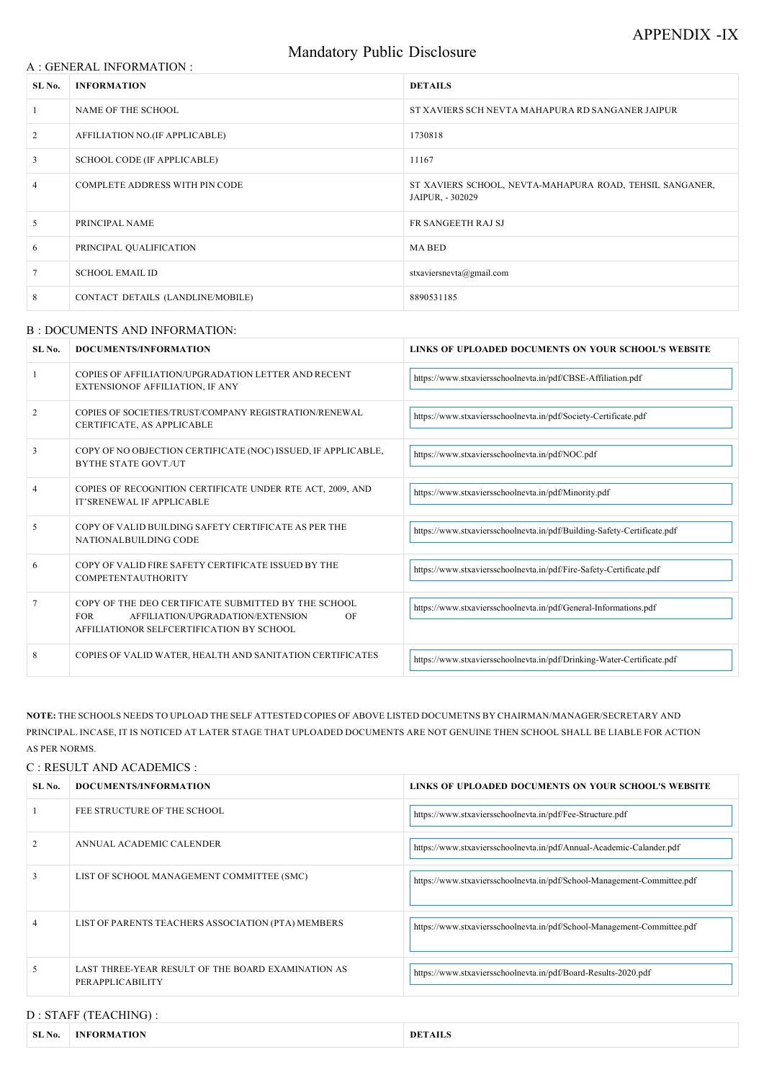### A : GENERAL INFORMATION :

# Mandatory Public Disclosure

| SL No.          | <b>INFORMATION</b>                 | <b>DETAILS</b>                                                               |
|-----------------|------------------------------------|------------------------------------------------------------------------------|
|                 | NAME OF THE SCHOOL                 | ST XAVIERS SCH NEVTA MAHAPURA RD SANGANER JAIPUR                             |
| 2               | AFFILIATION NO.(IF APPLICABLE)     | 1730818                                                                      |
| $\mathfrak{Z}$  | <b>SCHOOL CODE (IF APPLICABLE)</b> | 11167                                                                        |
| 4               | COMPLETE ADDRESS WITH PIN CODE     | ST XAVIERS SCHOOL, NEVTA-MAHAPURA ROAD, TEHSIL SANGANER,<br>JAIPUR, - 302029 |
| 5               | PRINCIPAL NAME                     | FR SANGEETH RAJ SJ                                                           |
| 6               | PRINCIPAL QUALIFICATION            | MA BED                                                                       |
| $7\phantom{.0}$ | <b>SCHOOL EMAIL ID</b>             | stxaviersnevta@gmail.com                                                     |
| 8               | CONTACT DETAILS (LANDLINE/MOBILE)  | 8890531185                                                                   |

#### B : DOCUMENTS AND INFORMATION:

| SL <sub>No.</sub> | <b>DOCUMENTS/INFORMATION</b>                                                                                                                              | LINKS OF UPLOADED DOCUMENTS ON YOUR SCHOOL'S WEBSITE                    |
|-------------------|-----------------------------------------------------------------------------------------------------------------------------------------------------------|-------------------------------------------------------------------------|
|                   | COPIES OF AFFILIATION/UPGRADATION LETTER AND RECENT<br>EXTENSIONOF AFFILIATION, IF ANY                                                                    | https://www.stxaviersschoolnevta.in/pdf/CBSE-Affiliation.pdf            |
| 2                 | COPIES OF SOCIETIES/TRUST/COMPANY REGISTRATION/RENEWAL<br>CERTIFICATE, AS APPLICABLE                                                                      | https://www.stxaviersschoolnevta.in/pdf/Society-Certificate.pdf         |
| 3                 | COPY OF NO OBJECTION CERTIFICATE (NOC) ISSUED, IF APPLICABLE,<br><b>BYTHE STATE GOVT./UT</b>                                                              | https://www.stxaviersschoolnevta.in/pdf/NOC.pdf                         |
| 4                 | COPIES OF RECOGNITION CERTIFICATE UNDER RTE ACT, 2009, AND<br><b>IT'SRENEWAL IF APPLICABLE</b>                                                            | https://www.stxaviersschoolnevta.in/pdf/Minority.pdf                    |
| 5                 | COPY OF VALID BUILDING SAFETY CERTIFICATE AS PER THE<br>NATIONALBUILDING CODE                                                                             | https://www.stxaviersschoolnevta.in/pdf/Building-Safety-Certificate.pdf |
| 6                 | COPY OF VALID FIRE SAFETY CERTIFICATE ISSUED BY THE<br><b>COMPETENTAUTHORITY</b>                                                                          | https://www.stxaviersschoolnevta.in/pdf/Fire-Safety-Certificate.pdf     |
|                   | COPY OF THE DEO CERTIFICATE SUBMITTED BY THE SCHOOL<br><b>FOR</b><br>AFFILIATION/UPGRADATION/EXTENSION<br>OF<br>AFFILIATIONOR SELFCERTIFICATION BY SCHOOL | https://www.stxaviersschoolnevta.in/pdf/General-Informations.pdf        |
| 8                 | COPIES OF VALID WATER, HEALTH AND SANITATION CERTIFICATES                                                                                                 | https://www.stxaviersschoolnevta.in/pdf/Drinking-Water-Certificate.pdf  |

|                |                                                                        | https://www.stxavicrsschoomevia.m/pul/rcc-structure.pul                 |
|----------------|------------------------------------------------------------------------|-------------------------------------------------------------------------|
| 2              | ANNUAL ACADEMIC CALENDER                                               | https://www.stxaviersschoolnevta.in/pdf/Annual-Academic-Calander.pdf    |
| 3              | LIST OF SCHOOL MANAGEMENT COMMITTEE (SMC)                              | https://www.stxaviersschoolnevta.in/pdf/School-Management-Committee.pdf |
| $\overline{4}$ | LIST OF PARENTS TEACHERS ASSOCIATION (PTA) MEMBERS                     | https://www.stxaviersschoolnevta.in/pdf/School-Management-Committee.pdf |
| 5              | LAST THREE-YEAR RESULT OF THE BOARD EXAMINATION AS<br>PERAPPLICABILITY | https://www.stxaviersschoolnevta.in/pdf/Board-Results-2020.pdf          |

NOTE: THE SCHOOLS NEEDS TO UPLOAD THE SELF ATTESTED COPIES OF ABOVE LISTED DOCUMETNS BY CHAIRMAN/MANAGER/SECRETARY AND PRINCIPAL. INCASE, IT IS NOTICED AT LATER STAGE THAT UPLOADED DOCUMENTS ARE NOT GENUINE THEN SCHOOL SHALL BE LIABLE FOR ACTION AS PER NORMS.

### C : RESULT AND ACADEMICS :

| DOCUMENTS/INFORMATION       | LINKS OF UPLOADED DOCUMENTS ON YOUR SCHOOL'S WEBSITE      |
|-----------------------------|-----------------------------------------------------------|
| FEE STRUCTURE OF THE SCHOOL | https://www.stxaviersschoolnevta.in/pdf/Fee-Structure.pdf |

# D : STAFF (TEACHING) :

| SL No. | <b>MATION</b><br>'ORM. | DF |  |
|--------|------------------------|----|--|
|        |                        |    |  |